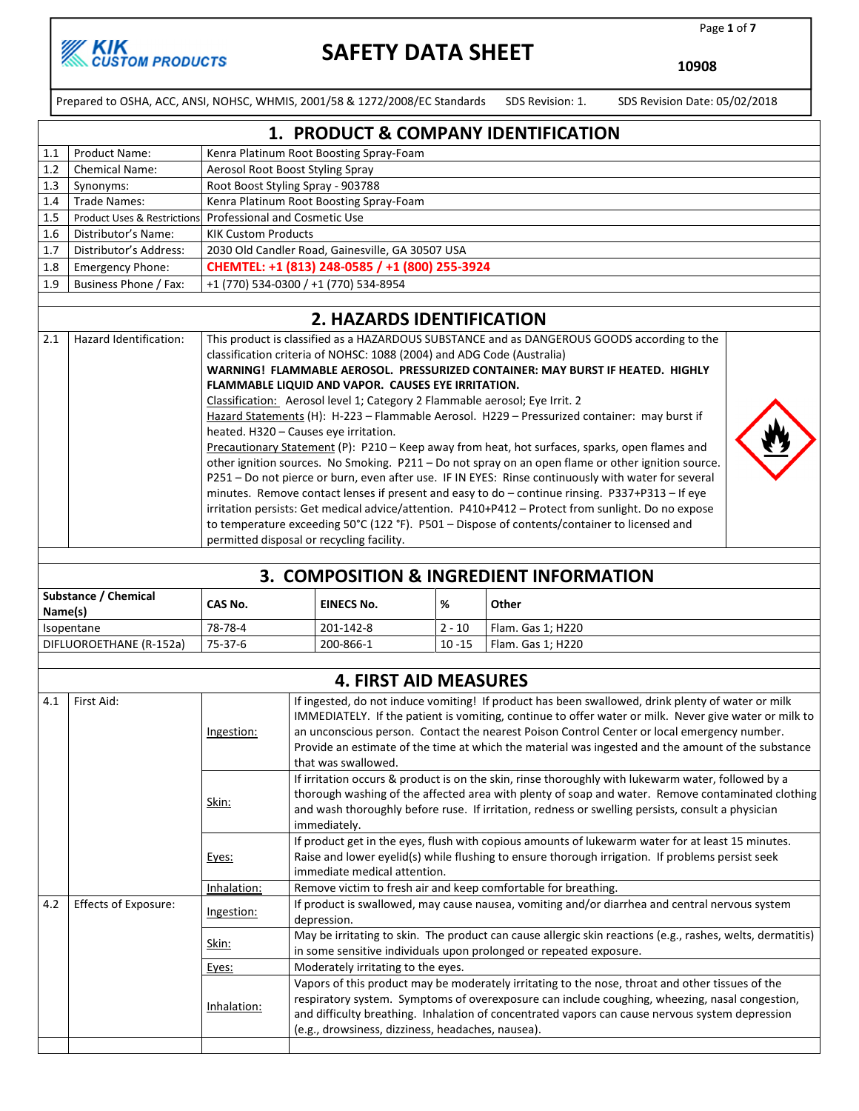

Page 1 of 7

⋗

10908

Prepared to OSHA, ACC, ANSI, NOHSC, WHMIS, 2001/58 & 1272/2008/EC Standards SDS Revision: 1. SDS Revision Date: 05/02/2018

|                  | 1. PRODUCT & COMPANY IDENTIFICATION |                                                           |  |  |  |
|------------------|-------------------------------------|-----------------------------------------------------------|--|--|--|
| 1.1              | <b>Product Name:</b>                | Kenra Platinum Root Boosting Spray-Foam                   |  |  |  |
| 1.2              | <b>Chemical Name:</b>               | Aerosol Root Boost Styling Spray                          |  |  |  |
| 1.3              | Synonyms:                           | Root Boost Styling Spray - 903788                         |  |  |  |
| 1.4              | Trade Names:                        | Kenra Platinum Root Boosting Spray-Foam                   |  |  |  |
| $1.5\phantom{0}$ |                                     | Product Uses & Restrictions Professional and Cosmetic Use |  |  |  |
| 1.6              | Distributor's Name:                 | <b>KIK Custom Products</b>                                |  |  |  |
| 1.7              | Distributor's Address:              | 2030 Old Candler Road, Gainesville, GA 30507 USA          |  |  |  |
| 1.8              | <b>Emergency Phone:</b>             | CHEMTEL: +1 (813) 248-0585 / +1 (800) 255-3924            |  |  |  |
| 1.9              | Business Phone / Fax:               | +1 (770) 534-0300 / +1 (770) 534-8954                     |  |  |  |
|                  |                                     |                                                           |  |  |  |

#### 2. HAZARDS IDENTIFICATION

| 2.1 | Hazard Identification: | This product is classified as a HAZARDOUS SUBSTANCE and as DANGEROUS GOODS according to the<br>classification criteria of NOHSC: 1088 (2004) and ADG Code (Australia)<br>WARNING! FLAMMABLE AEROSOL. PRESSURIZED CONTAINER: MAY BURST IF HEATED. HIGHLY<br>FLAMMABLE LIQUID AND VAPOR. CAUSES EYE IRRITATION.<br>Classification: Aerosol level 1; Category 2 Flammable aerosol; Eye Irrit. 2<br>Hazard Statements (H): H-223 - Flammable Aerosol. H229 - Pressurized container: may burst if<br>heated. H320 - Causes eye irritation.<br>Precautionary Statement (P): P210 - Keep away from heat, hot surfaces, sparks, open flames and<br>other ignition sources. No Smoking. P211 - Do not spray on an open flame or other ignition source.<br>P251 - Do not pierce or burn, even after use. IF IN EYES: Rinse continuously with water for several<br>minutes. Remove contact lenses if present and easy to do - continue rinsing. P337+P313 - If eye<br>irritation persists: Get medical advice/attention. P410+P412 - Protect from sunlight. Do no expose<br>to temperature exceeding 50°C (122 °F). P501 - Dispose of contents/container to licensed and<br>permitted disposal or recycling facility. |  |
|-----|------------------------|------------------------------------------------------------------------------------------------------------------------------------------------------------------------------------------------------------------------------------------------------------------------------------------------------------------------------------------------------------------------------------------------------------------------------------------------------------------------------------------------------------------------------------------------------------------------------------------------------------------------------------------------------------------------------------------------------------------------------------------------------------------------------------------------------------------------------------------------------------------------------------------------------------------------------------------------------------------------------------------------------------------------------------------------------------------------------------------------------------------------------------------------------------------------------------------------------------|--|

| 3. COMPOSITION & INGREDIENT INFORMATION |         |                   |           |                   |  |  |
|-----------------------------------------|---------|-------------------|-----------|-------------------|--|--|
| Substance / Chemical<br>Name(s)         | CAS No. | <b>EINECS No.</b> | %         | Other             |  |  |
| Isopentane                              | 78-78-4 | 201-142-8         | $2 - 10$  | Flam. Gas 1; H220 |  |  |
| DIFLUOROETHANE (R-152a)                 | 75-37-6 | 200-866-1         | $10 - 15$ | Flam. Gas 1: H220 |  |  |

|     |                             |             | <b>4. FIRST AID MEASURES</b>                                                                                                                                                                                                                                                                                                                                                                                                           |
|-----|-----------------------------|-------------|----------------------------------------------------------------------------------------------------------------------------------------------------------------------------------------------------------------------------------------------------------------------------------------------------------------------------------------------------------------------------------------------------------------------------------------|
| 4.1 | First Aid:                  | Ingestion:  | If ingested, do not induce vomiting! If product has been swallowed, drink plenty of water or milk<br>IMMEDIATELY. If the patient is vomiting, continue to offer water or milk. Never give water or milk to<br>an unconscious person. Contact the nearest Poison Control Center or local emergency number.<br>Provide an estimate of the time at which the material was ingested and the amount of the substance<br>that was swallowed. |
|     |                             | Skin:       | If irritation occurs & product is on the skin, rinse thoroughly with lukewarm water, followed by a<br>thorough washing of the affected area with plenty of soap and water. Remove contaminated clothing<br>and wash thoroughly before ruse. If irritation, redness or swelling persists, consult a physician<br>immediately.                                                                                                           |
|     |                             | Eyes:       | If product get in the eyes, flush with copious amounts of lukewarm water for at least 15 minutes.<br>Raise and lower eyelid(s) while flushing to ensure thorough irrigation. If problems persist seek<br>immediate medical attention.                                                                                                                                                                                                  |
|     |                             | Inhalation: | Remove victim to fresh air and keep comfortable for breathing.                                                                                                                                                                                                                                                                                                                                                                         |
| 4.2 | <b>Effects of Exposure:</b> | Ingestion:  | If product is swallowed, may cause nausea, vomiting and/or diarrhea and central nervous system<br>depression.                                                                                                                                                                                                                                                                                                                          |
|     |                             | Skin:       | May be irritating to skin. The product can cause allergic skin reactions (e.g., rashes, welts, dermatitis)<br>in some sensitive individuals upon prolonged or repeated exposure.                                                                                                                                                                                                                                                       |
|     |                             | Eyes:       | Moderately irritating to the eyes.                                                                                                                                                                                                                                                                                                                                                                                                     |
|     |                             | Inhalation: | Vapors of this product may be moderately irritating to the nose, throat and other tissues of the<br>respiratory system. Symptoms of overexposure can include coughing, wheezing, nasal congestion,<br>and difficulty breathing. Inhalation of concentrated vapors can cause nervous system depression<br>(e.g., drowsiness, dizziness, headaches, nausea).                                                                             |
|     |                             |             |                                                                                                                                                                                                                                                                                                                                                                                                                                        |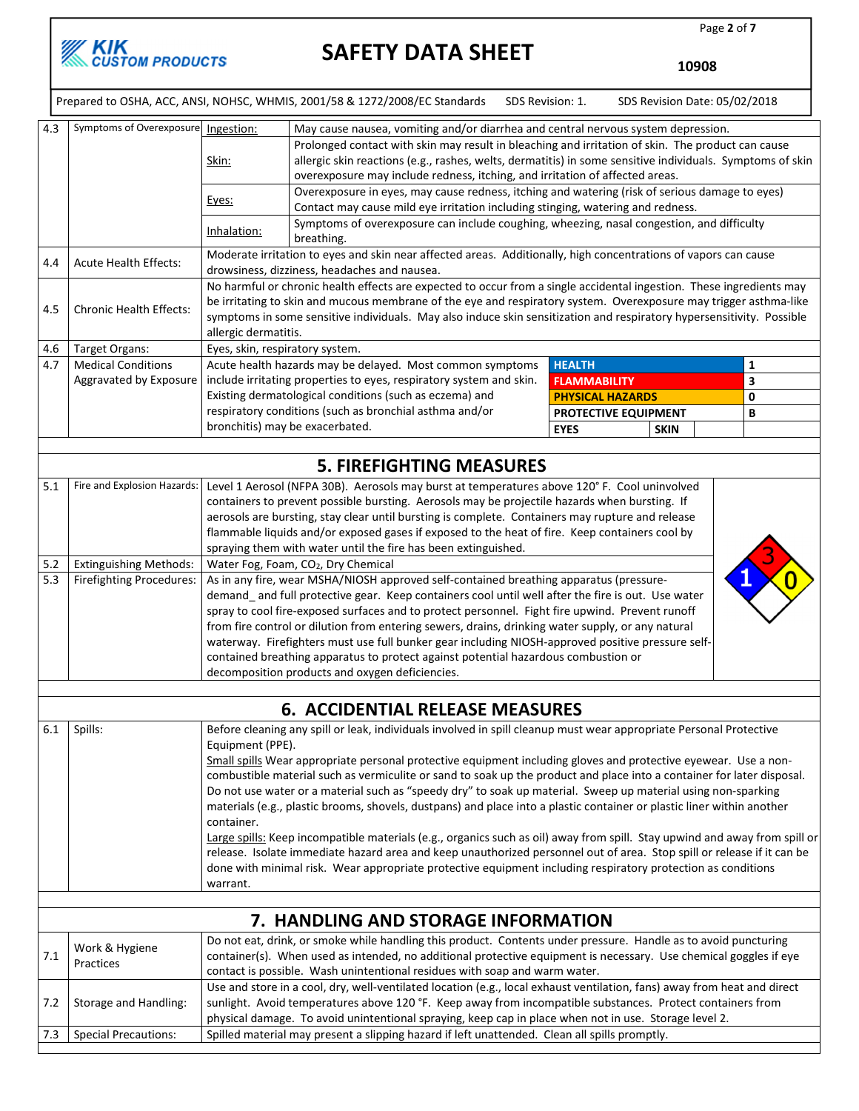

Page 2 of 7

a l

10908

|            |                                                                                                                          |                                 | Prepared to OSHA, ACC, ANSI, NOHSC, WHMIS, 2001/58 & 1272/2008/EC Standards                                                                                                               | SDS Revision: 1. |                         | SDS Revision Date: 05/02/2018 |   |
|------------|--------------------------------------------------------------------------------------------------------------------------|---------------------------------|-------------------------------------------------------------------------------------------------------------------------------------------------------------------------------------------|------------------|-------------------------|-------------------------------|---|
| 4.3        | Symptoms of Overexposure                                                                                                 | Ingestion:                      | May cause nausea, vomiting and/or diarrhea and central nervous system depression.                                                                                                         |                  |                         |                               |   |
|            |                                                                                                                          |                                 | Prolonged contact with skin may result in bleaching and irritation of skin. The product can cause                                                                                         |                  |                         |                               |   |
|            |                                                                                                                          | Skin:                           | allergic skin reactions (e.g., rashes, welts, dermatitis) in some sensitive individuals. Symptoms of skin<br>overexposure may include redness, itching, and irritation of affected areas. |                  |                         |                               |   |
|            |                                                                                                                          |                                 | Overexposure in eyes, may cause redness, itching and watering (risk of serious damage to eyes)                                                                                            |                  |                         |                               |   |
|            |                                                                                                                          | Eyes:                           | Contact may cause mild eye irritation including stinging, watering and redness.                                                                                                           |                  |                         |                               |   |
|            |                                                                                                                          | Inhalation:                     | Symptoms of overexposure can include coughing, wheezing, nasal congestion, and difficulty<br>breathing.                                                                                   |                  |                         |                               |   |
|            | <b>Acute Health Effects:</b>                                                                                             |                                 | Moderate irritation to eyes and skin near affected areas. Additionally, high concentrations of vapors can cause                                                                           |                  |                         |                               |   |
| 4.4        |                                                                                                                          |                                 | drowsiness, dizziness, headaches and nausea.                                                                                                                                              |                  |                         |                               |   |
|            |                                                                                                                          |                                 | No harmful or chronic health effects are expected to occur from a single accidental ingestion. These ingredients may                                                                      |                  |                         |                               |   |
| 4.5        | <b>Chronic Health Effects:</b>                                                                                           |                                 | be irritating to skin and mucous membrane of the eye and respiratory system. Overexposure may trigger asthma-like                                                                         |                  |                         |                               |   |
|            |                                                                                                                          |                                 | symptoms in some sensitive individuals. May also induce skin sensitization and respiratory hypersensitivity. Possible                                                                     |                  |                         |                               |   |
|            |                                                                                                                          | allergic dermatitis.            |                                                                                                                                                                                           |                  |                         |                               |   |
| 4.6<br>4.7 | Target Organs:<br><b>Medical Conditions</b>                                                                              | Eyes, skin, respiratory system. | Acute health hazards may be delayed. Most common symptoms                                                                                                                                 |                  | <b>HEALTH</b>           |                               | 1 |
|            | Aggravated by Exposure                                                                                                   |                                 | include irritating properties to eyes, respiratory system and skin.                                                                                                                       |                  | <b>FLAMMABILITY</b>     |                               | 3 |
|            |                                                                                                                          |                                 | Existing dermatological conditions (such as eczema) and                                                                                                                                   |                  | <b>PHYSICAL HAZARDS</b> |                               | 0 |
|            |                                                                                                                          |                                 | respiratory conditions (such as bronchial asthma and/or                                                                                                                                   |                  | PROTECTIVE EQUIPMENT    |                               | В |
|            |                                                                                                                          | bronchitis) may be exacerbated. |                                                                                                                                                                                           |                  | <b>EYES</b>             | <b>SKIN</b>                   |   |
|            |                                                                                                                          |                                 |                                                                                                                                                                                           |                  |                         |                               |   |
|            |                                                                                                                          |                                 | <b>5. FIREFIGHTING MEASURES</b>                                                                                                                                                           |                  |                         |                               |   |
| 5.1        | Fire and Explosion Hazards:                                                                                              |                                 | Level 1 Aerosol (NFPA 30B). Aerosols may burst at temperatures above 120° F. Cool uninvolved                                                                                              |                  |                         |                               |   |
|            |                                                                                                                          |                                 | containers to prevent possible bursting. Aerosols may be projectile hazards when bursting. If                                                                                             |                  |                         |                               |   |
|            |                                                                                                                          |                                 | aerosols are bursting, stay clear until bursting is complete. Containers may rupture and release                                                                                          |                  |                         |                               |   |
|            |                                                                                                                          |                                 | flammable liquids and/or exposed gases if exposed to the heat of fire. Keep containers cool by                                                                                            |                  |                         |                               |   |
|            |                                                                                                                          |                                 | spraying them with water until the fire has been extinguished.                                                                                                                            |                  |                         |                               |   |
| 5.2        | <b>Extinguishing Methods:</b>                                                                                            |                                 | Water Fog, Foam, CO <sub>2</sub> , Dry Chemical                                                                                                                                           |                  |                         |                               |   |
| 5.3        | Firefighting Procedures:                                                                                                 |                                 | As in any fire, wear MSHA/NIOSH approved self-contained breathing apparatus (pressure-                                                                                                    |                  |                         |                               |   |
|            |                                                                                                                          |                                 | demand_and full protective gear. Keep containers cool until well after the fire is out. Use water                                                                                         |                  |                         |                               |   |
|            |                                                                                                                          |                                 | spray to cool fire-exposed surfaces and to protect personnel. Fight fire upwind. Prevent runoff                                                                                           |                  |                         |                               |   |
|            |                                                                                                                          |                                 | from fire control or dilution from entering sewers, drains, drinking water supply, or any natural                                                                                         |                  |                         |                               |   |
|            |                                                                                                                          |                                 | waterway. Firefighters must use full bunker gear including NIOSH-approved positive pressure self-<br>contained breathing apparatus to protect against potential hazardous combustion or   |                  |                         |                               |   |
|            |                                                                                                                          |                                 | decomposition products and oxygen deficiencies.                                                                                                                                           |                  |                         |                               |   |
|            |                                                                                                                          |                                 |                                                                                                                                                                                           |                  |                         |                               |   |
|            | <b>6. ACCIDENTIAL RELEASE MEASURES</b>                                                                                   |                                 |                                                                                                                                                                                           |                  |                         |                               |   |
| 6.1        | Spills:                                                                                                                  |                                 | Before cleaning any spill or leak, individuals involved in spill cleanup must wear appropriate Personal Protective                                                                        |                  |                         |                               |   |
|            | Equipment (PPE).                                                                                                         |                                 |                                                                                                                                                                                           |                  |                         |                               |   |
|            |                                                                                                                          |                                 | Small spills Wear appropriate personal protective equipment including gloves and protective eyewear. Use a non-                                                                           |                  |                         |                               |   |
|            |                                                                                                                          |                                 | combustible material such as vermiculite or sand to soak up the product and place into a container for later disposal.                                                                    |                  |                         |                               |   |
|            |                                                                                                                          |                                 | Do not use water or a material such as "speedy dry" to soak up material. Sweep up material using non-sparking                                                                             |                  |                         |                               |   |
|            |                                                                                                                          |                                 | materials (e.g., plastic brooms, shovels, dustpans) and place into a plastic container or plastic liner within another                                                                    |                  |                         |                               |   |
|            |                                                                                                                          | container.                      |                                                                                                                                                                                           |                  |                         |                               |   |
|            |                                                                                                                          |                                 | Large spills: Keep incompatible materials (e.g., organics such as oil) away from spill. Stay upwind and away from spill or                                                                |                  |                         |                               |   |
|            |                                                                                                                          |                                 | release. Isolate immediate hazard area and keep unauthorized personnel out of area. Stop spill or release if it can be                                                                    |                  |                         |                               |   |
|            | done with minimal risk. Wear appropriate protective equipment including respiratory protection as conditions<br>warrant. |                                 |                                                                                                                                                                                           |                  |                         |                               |   |
|            |                                                                                                                          |                                 |                                                                                                                                                                                           |                  |                         |                               |   |
|            |                                                                                                                          |                                 | 7. HANDLING AND STORAGE INFORMATION                                                                                                                                                       |                  |                         |                               |   |
|            |                                                                                                                          |                                 | Do not eat, drink, or smoke while handling this product. Contents under pressure. Handle as to avoid puncturing                                                                           |                  |                         |                               |   |
| 7.1        | Work & Hygiene                                                                                                           |                                 | container(s). When used as intended, no additional protective equipment is necessary. Use chemical goggles if eye                                                                         |                  |                         |                               |   |
|            | Practices                                                                                                                |                                 | contact is possible. Wash unintentional residues with soap and warm water.                                                                                                                |                  |                         |                               |   |
|            |                                                                                                                          |                                 | Use and store in a cool, dry, well-ventilated location (e.g., local exhaust ventilation, fans) away from heat and direct                                                                  |                  |                         |                               |   |
| 7.2        | Storage and Handling:                                                                                                    |                                 | sunlight. Avoid temperatures above 120 °F. Keep away from incompatible substances. Protect containers from                                                                                |                  |                         |                               |   |
|            |                                                                                                                          |                                 | physical damage. To avoid unintentional spraying, keep cap in place when not in use. Storage level 2.                                                                                     |                  |                         |                               |   |
| 7.3        | <b>Special Precautions:</b>                                                                                              |                                 | Spilled material may present a slipping hazard if left unattended. Clean all spills promptly.                                                                                             |                  |                         |                               |   |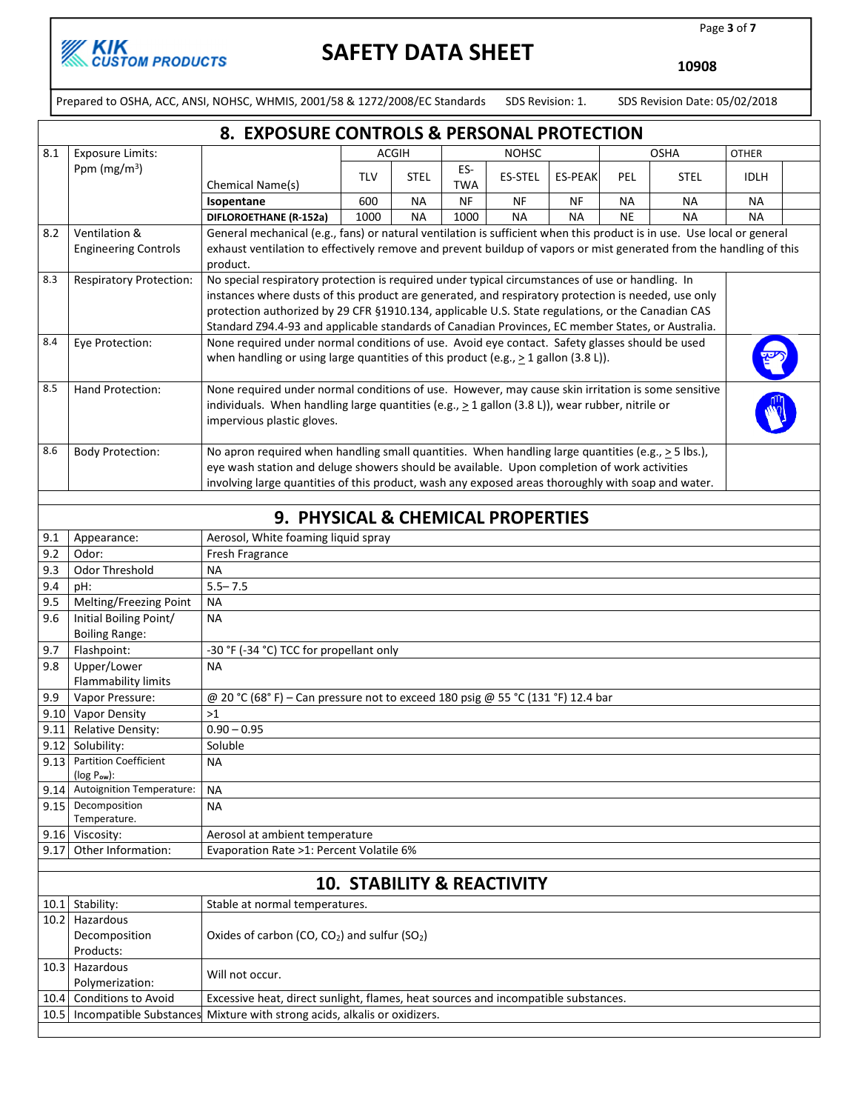

Page 3 of 7

10908

Prepared to OSHA, ACC, ANSI, NOHSC, WHMIS, 2001/58 & 1272/2008/EC Standards SDS Revision: 1. SDS Revision Date: 05/02/2018

|              | 8. EXPOSURE CONTROLS & PERSONAL PROTECTION       |                                                                                                                                                                                                                                                                                                              |                                                                                                                                                                                                                                                                                                                                                                                                                   |              |                   |                                       |                |           |             |              |  |
|--------------|--------------------------------------------------|--------------------------------------------------------------------------------------------------------------------------------------------------------------------------------------------------------------------------------------------------------------------------------------------------------------|-------------------------------------------------------------------------------------------------------------------------------------------------------------------------------------------------------------------------------------------------------------------------------------------------------------------------------------------------------------------------------------------------------------------|--------------|-------------------|---------------------------------------|----------------|-----------|-------------|--------------|--|
| 8.1          | <b>Exposure Limits:</b>                          |                                                                                                                                                                                                                                                                                                              |                                                                                                                                                                                                                                                                                                                                                                                                                   | <b>ACGIH</b> |                   | <b>NOHSC</b>                          |                |           | <b>OSHA</b> | <b>OTHER</b> |  |
|              | Ppm ( $mg/m3$ )                                  | Chemical Name(s)                                                                                                                                                                                                                                                                                             | <b>TLV</b>                                                                                                                                                                                                                                                                                                                                                                                                        | <b>STEL</b>  | ES-<br><b>TWA</b> | ES-STEL                               | <b>ES-PEAK</b> | PEL       | STEL        | <b>IDLH</b>  |  |
|              |                                                  | Isopentane                                                                                                                                                                                                                                                                                                   | 600                                                                                                                                                                                                                                                                                                                                                                                                               | <b>NA</b>    | <b>NF</b>         | <b>NF</b>                             | NF             | <b>NA</b> | <b>NA</b>   | <b>NA</b>    |  |
|              |                                                  | DIFLOROETHANE (R-152a)                                                                                                                                                                                                                                                                                       | 1000                                                                                                                                                                                                                                                                                                                                                                                                              | <b>NA</b>    | 1000              | <b>NA</b>                             | <b>NA</b>      | NE        | <b>NA</b>   | <b>NA</b>    |  |
| 8.2          | Ventilation &                                    | General mechanical (e.g., fans) or natural ventilation is sufficient when this product is in use. Use local or general                                                                                                                                                                                       |                                                                                                                                                                                                                                                                                                                                                                                                                   |              |                   |                                       |                |           |             |              |  |
|              | <b>Engineering Controls</b>                      | exhaust ventilation to effectively remove and prevent buildup of vapors or mist generated from the handling of this                                                                                                                                                                                          |                                                                                                                                                                                                                                                                                                                                                                                                                   |              |                   |                                       |                |           |             |              |  |
|              |                                                  | product.                                                                                                                                                                                                                                                                                                     |                                                                                                                                                                                                                                                                                                                                                                                                                   |              |                   |                                       |                |           |             |              |  |
| 8.3          | <b>Respiratory Protection:</b>                   |                                                                                                                                                                                                                                                                                                              | No special respiratory protection is required under typical circumstances of use or handling. In<br>instances where dusts of this product are generated, and respiratory protection is needed, use only<br>protection authorized by 29 CFR §1910.134, applicable U.S. State regulations, or the Canadian CAS<br>Standard Z94.4-93 and applicable standards of Canadian Provinces, EC member States, or Australia. |              |                   |                                       |                |           |             |              |  |
| 8.4          | Eye Protection:                                  | None required under normal conditions of use. Avoid eye contact. Safety glasses should be used<br>when handling or using large quantities of this product (e.g., $\geq 1$ gallon (3.8 L)).                                                                                                                   |                                                                                                                                                                                                                                                                                                                                                                                                                   |              |                   |                                       |                |           |             |              |  |
| 8.5          | Hand Protection:                                 | None required under normal conditions of use. However, may cause skin irritation is some sensitive<br>individuals. When handling large quantities (e.g., $\geq 1$ gallon (3.8 L)), wear rubber, nitrile or<br>impervious plastic gloves.                                                                     |                                                                                                                                                                                                                                                                                                                                                                                                                   |              |                   |                                       |                |           |             |              |  |
| 8.6          | <b>Body Protection:</b>                          | No apron required when handling small quantities. When handling large quantities (e.g., $\geq$ 5 lbs.),<br>eye wash station and deluge showers should be available. Upon completion of work activities<br>involving large quantities of this product, wash any exposed areas thoroughly with soap and water. |                                                                                                                                                                                                                                                                                                                                                                                                                   |              |                   |                                       |                |           |             |              |  |
|              |                                                  |                                                                                                                                                                                                                                                                                                              |                                                                                                                                                                                                                                                                                                                                                                                                                   |              |                   |                                       |                |           |             |              |  |
|              |                                                  | 9. PHYSICAL & CHEMICAL PROPERTIES                                                                                                                                                                                                                                                                            |                                                                                                                                                                                                                                                                                                                                                                                                                   |              |                   |                                       |                |           |             |              |  |
| 9.1          | Appearance:                                      | Aerosol, White foaming liquid spray                                                                                                                                                                                                                                                                          |                                                                                                                                                                                                                                                                                                                                                                                                                   |              |                   |                                       |                |           |             |              |  |
| 9.2          | Odor:                                            | Fresh Fragrance                                                                                                                                                                                                                                                                                              |                                                                                                                                                                                                                                                                                                                                                                                                                   |              |                   |                                       |                |           |             |              |  |
| 9.3          | Odor Threshold                                   | <b>NA</b>                                                                                                                                                                                                                                                                                                    |                                                                                                                                                                                                                                                                                                                                                                                                                   |              |                   |                                       |                |           |             |              |  |
| 9.4          | pH:                                              | $5.5 - 7.5$                                                                                                                                                                                                                                                                                                  |                                                                                                                                                                                                                                                                                                                                                                                                                   |              |                   |                                       |                |           |             |              |  |
| 9.5          | Melting/Freezing Point                           | <b>NA</b>                                                                                                                                                                                                                                                                                                    |                                                                                                                                                                                                                                                                                                                                                                                                                   |              |                   |                                       |                |           |             |              |  |
| 9.6          | Initial Boiling Point/                           | <b>NA</b>                                                                                                                                                                                                                                                                                                    |                                                                                                                                                                                                                                                                                                                                                                                                                   |              |                   |                                       |                |           |             |              |  |
| 9.7          | <b>Boiling Range:</b><br>Flashpoint:             | -30 °F (-34 °C) TCC for propellant only                                                                                                                                                                                                                                                                      |                                                                                                                                                                                                                                                                                                                                                                                                                   |              |                   |                                       |                |           |             |              |  |
| 9.8          | Upper/Lower                                      | <b>NA</b>                                                                                                                                                                                                                                                                                                    |                                                                                                                                                                                                                                                                                                                                                                                                                   |              |                   |                                       |                |           |             |              |  |
|              | Flammability limits                              |                                                                                                                                                                                                                                                                                                              |                                                                                                                                                                                                                                                                                                                                                                                                                   |              |                   |                                       |                |           |             |              |  |
| 9.9          | Vapor Pressure:                                  | @ 20 °C (68°F) - Can pressure not to exceed 180 psig @ 55 °C (131 °F) 12.4 bar                                                                                                                                                                                                                               |                                                                                                                                                                                                                                                                                                                                                                                                                   |              |                   |                                       |                |           |             |              |  |
| 9.10<br>9.11 | <b>Vapor Density</b><br><b>Relative Density:</b> | >1<br>$0.90 - 0.95$                                                                                                                                                                                                                                                                                          |                                                                                                                                                                                                                                                                                                                                                                                                                   |              |                   |                                       |                |           |             |              |  |
| 9.12         | Solubility:                                      | Soluble                                                                                                                                                                                                                                                                                                      |                                                                                                                                                                                                                                                                                                                                                                                                                   |              |                   |                                       |                |           |             |              |  |
|              | 9.13 Partition Coefficient<br>$(log Pow)$ :      | <b>NA</b>                                                                                                                                                                                                                                                                                                    |                                                                                                                                                                                                                                                                                                                                                                                                                   |              |                   |                                       |                |           |             |              |  |
| 9.14         | Autoignition Temperature:                        | <b>NA</b>                                                                                                                                                                                                                                                                                                    |                                                                                                                                                                                                                                                                                                                                                                                                                   |              |                   |                                       |                |           |             |              |  |
| 9.15         | Decomposition                                    | NА                                                                                                                                                                                                                                                                                                           |                                                                                                                                                                                                                                                                                                                                                                                                                   |              |                   |                                       |                |           |             |              |  |
|              | Temperature.                                     |                                                                                                                                                                                                                                                                                                              |                                                                                                                                                                                                                                                                                                                                                                                                                   |              |                   |                                       |                |           |             |              |  |
|              | 9.16 Viscosity:                                  | Aerosol at ambient temperature                                                                                                                                                                                                                                                                               |                                                                                                                                                                                                                                                                                                                                                                                                                   |              |                   |                                       |                |           |             |              |  |
|              | 9.17 Other Information:                          | Evaporation Rate >1: Percent Volatile 6%                                                                                                                                                                                                                                                                     |                                                                                                                                                                                                                                                                                                                                                                                                                   |              |                   |                                       |                |           |             |              |  |
|              |                                                  |                                                                                                                                                                                                                                                                                                              |                                                                                                                                                                                                                                                                                                                                                                                                                   |              |                   |                                       |                |           |             |              |  |
|              |                                                  |                                                                                                                                                                                                                                                                                                              |                                                                                                                                                                                                                                                                                                                                                                                                                   |              |                   | <b>10. STABILITY &amp; REACTIVITY</b> |                |           |             |              |  |
|              | 10.1 Stability:                                  | Stable at normal temperatures.                                                                                                                                                                                                                                                                               |                                                                                                                                                                                                                                                                                                                                                                                                                   |              |                   |                                       |                |           |             |              |  |
|              | 10.2 Hazardous<br>Decomposition                  | Oxides of carbon (CO, $CO2$ ) and sulfur (SO <sub>2</sub> )                                                                                                                                                                                                                                                  |                                                                                                                                                                                                                                                                                                                                                                                                                   |              |                   |                                       |                |           |             |              |  |
|              | Products:                                        |                                                                                                                                                                                                                                                                                                              |                                                                                                                                                                                                                                                                                                                                                                                                                   |              |                   |                                       |                |           |             |              |  |
|              | 10.3 Hazardous<br>Polymerization:                | Will not occur.                                                                                                                                                                                                                                                                                              |                                                                                                                                                                                                                                                                                                                                                                                                                   |              |                   |                                       |                |           |             |              |  |
| 10.4         | <b>Conditions to Avoid</b>                       | Excessive heat, direct sunlight, flames, heat sources and incompatible substances.                                                                                                                                                                                                                           |                                                                                                                                                                                                                                                                                                                                                                                                                   |              |                   |                                       |                |           |             |              |  |
|              | 10.5   Incompatible Substances                   | Mixture with strong acids, alkalis or oxidizers.                                                                                                                                                                                                                                                             |                                                                                                                                                                                                                                                                                                                                                                                                                   |              |                   |                                       |                |           |             |              |  |
|              |                                                  |                                                                                                                                                                                                                                                                                                              |                                                                                                                                                                                                                                                                                                                                                                                                                   |              |                   |                                       |                |           |             |              |  |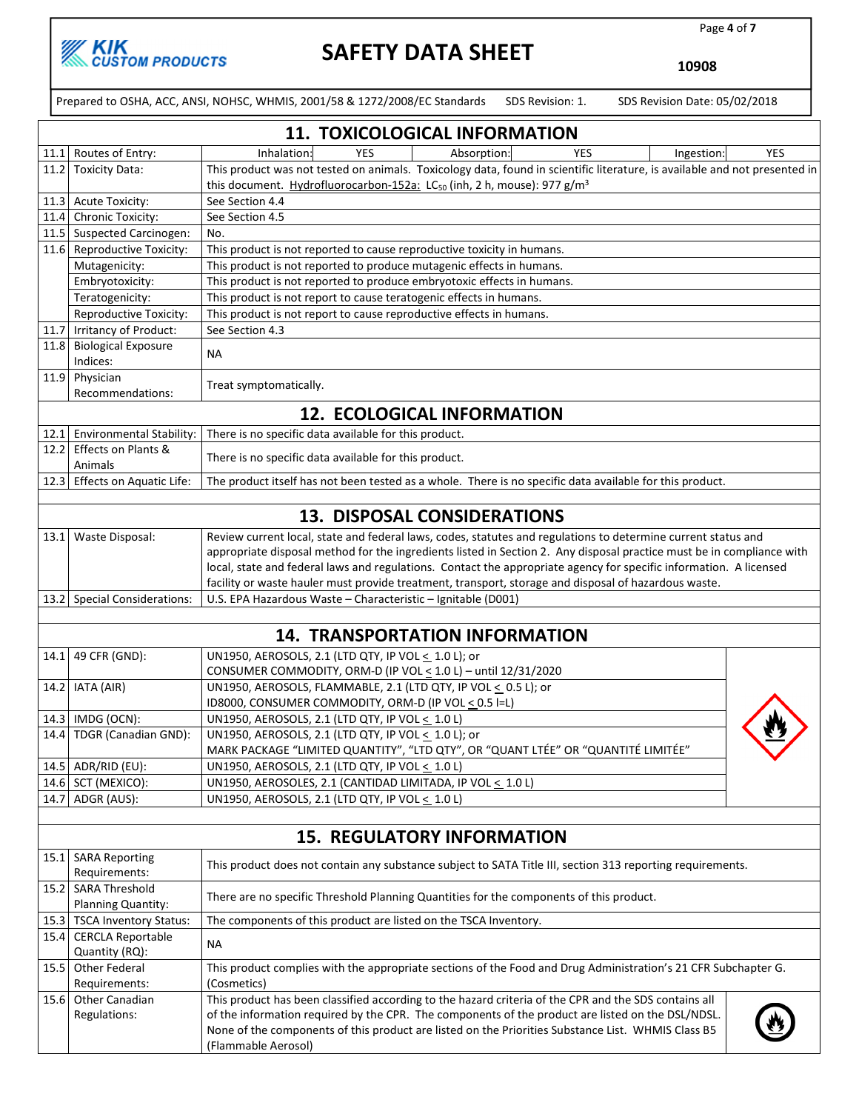

Page 4 of 7

10908

Prepared to OSHA, ACC, ANSI, NOHSC, WHMIS, 2001/58 & 1272/2008/EC Standards SDS Revision: 1. SDS Revision Date: 05/02/2018

|      | <b>11. TOXICOLOGICAL INFORMATION</b>       |                                                                                                                                                                                                            |  |  |  |  |
|------|--------------------------------------------|------------------------------------------------------------------------------------------------------------------------------------------------------------------------------------------------------------|--|--|--|--|
|      | 11.1 Routes of Entry:                      | YES<br>Absorption:<br>YES<br>Inhalation:<br><b>YES</b><br>Ingestion:                                                                                                                                       |  |  |  |  |
|      | 11.2 Toxicity Data:                        | This product was not tested on animals. Toxicology data, found in scientific literature, is available and not presented in                                                                                 |  |  |  |  |
|      |                                            | this document. Hydrofluorocarbon-152a: LC <sub>50</sub> (inh, 2 h, mouse): 977 g/m <sup>3</sup>                                                                                                            |  |  |  |  |
|      | 11.3 Acute Toxicity:                       | See Section 4.4                                                                                                                                                                                            |  |  |  |  |
| 11.4 | Chronic Toxicity:                          | See Section 4.5                                                                                                                                                                                            |  |  |  |  |
|      | 11.5 Suspected Carcinogen:                 | No.                                                                                                                                                                                                        |  |  |  |  |
|      | 11.6 Reproductive Toxicity:                | This product is not reported to cause reproductive toxicity in humans.                                                                                                                                     |  |  |  |  |
|      | Mutagenicity:                              | This product is not reported to produce mutagenic effects in humans.                                                                                                                                       |  |  |  |  |
|      | Embryotoxicity:                            | This product is not reported to produce embryotoxic effects in humans.                                                                                                                                     |  |  |  |  |
|      | Teratogenicity:                            | This product is not report to cause teratogenic effects in humans.                                                                                                                                         |  |  |  |  |
|      | Reproductive Toxicity:                     | This product is not report to cause reproductive effects in humans.                                                                                                                                        |  |  |  |  |
|      | 11.7   Irritancy of Product:               | See Section 4.3                                                                                                                                                                                            |  |  |  |  |
|      | 11.8 Biological Exposure<br>Indices:       | NА                                                                                                                                                                                                         |  |  |  |  |
|      | 11.9 Physician<br>Recommendations:         | Treat symptomatically.                                                                                                                                                                                     |  |  |  |  |
|      |                                            | <b>12. ECOLOGICAL INFORMATION</b>                                                                                                                                                                          |  |  |  |  |
|      | 12.1 Environmental Stability:              | There is no specific data available for this product.                                                                                                                                                      |  |  |  |  |
|      | 12.2 Effects on Plants &<br>Animals        | There is no specific data available for this product.                                                                                                                                                      |  |  |  |  |
|      | 12.3 Effects on Aquatic Life:              | The product itself has not been tested as a whole. There is no specific data available for this product.                                                                                                   |  |  |  |  |
|      |                                            |                                                                                                                                                                                                            |  |  |  |  |
|      |                                            | <b>13. DISPOSAL CONSIDERATIONS</b>                                                                                                                                                                         |  |  |  |  |
|      | 13.1 Waste Disposal:                       | Review current local, state and federal laws, codes, statutes and regulations to determine current status and                                                                                              |  |  |  |  |
|      |                                            | appropriate disposal method for the ingredients listed in Section 2. Any disposal practice must be in compliance with                                                                                      |  |  |  |  |
|      |                                            | local, state and federal laws and regulations. Contact the appropriate agency for specific information. A licensed                                                                                         |  |  |  |  |
|      |                                            | facility or waste hauler must provide treatment, transport, storage and disposal of hazardous waste.                                                                                                       |  |  |  |  |
|      | 13.2 Special Considerations:               | U.S. EPA Hazardous Waste - Characteristic - Ignitable (D001)                                                                                                                                               |  |  |  |  |
|      |                                            | <b>14. TRANSPORTATION INFORMATION</b>                                                                                                                                                                      |  |  |  |  |
|      | 14.1 49 CFR (GND):                         | UN1950, AEROSOLS, 2.1 (LTD QTY, IP VOL < 1.0 L); or                                                                                                                                                        |  |  |  |  |
|      |                                            | CONSUMER COMMODITY, ORM-D (IP VOL < 1.0 L) - until 12/31/2020                                                                                                                                              |  |  |  |  |
|      | 14.2   IATA (AIR)                          | UN1950, AEROSOLS, FLAMMABLE, 2.1 (LTD QTY, IP VOL < 0.5 L); or                                                                                                                                             |  |  |  |  |
|      |                                            | ID8000, CONSUMER COMMODITY, ORM-D (IP VOL < 0.5 I=L)                                                                                                                                                       |  |  |  |  |
|      | 14.3 IMDG (OCN):                           | UN1950, AEROSOLS, 2.1 (LTD QTY, IP VOL < 1.0 L)                                                                                                                                                            |  |  |  |  |
|      | 14.4   TDGR (Canadian GND):                | UN1950, AEROSOLS, 2.1 (LTD QTY, IP VOL $\leq 1.0$ L); or                                                                                                                                                   |  |  |  |  |
|      |                                            | MARK PACKAGE "LIMITED QUANTITY", "LTD QTY", OR "QUANT LTÉE" OR "QUANTITÉ LIMITÉE"                                                                                                                          |  |  |  |  |
|      | 14.5 ADR/RID (EU):                         | UN1950, AEROSOLS, 2.1 (LTD QTY, IP VOL < 1.0 L)                                                                                                                                                            |  |  |  |  |
|      | 14.6 SCT (MEXICO):                         | UN1950, AEROSOLES, 2.1 (CANTIDAD LIMITADA, IP VOL $\leq$ 1.0 L)                                                                                                                                            |  |  |  |  |
|      | 14.7 ADGR (AUS):                           | UN1950, AEROSOLS, 2.1 (LTD QTY, IP VOL < 1.0 L)                                                                                                                                                            |  |  |  |  |
|      |                                            | <b>15. REGULATORY INFORMATION</b>                                                                                                                                                                          |  |  |  |  |
|      |                                            |                                                                                                                                                                                                            |  |  |  |  |
|      | 15.1 SARA Reporting<br>Requirements:       | This product does not contain any substance subject to SATA Title III, section 313 reporting requirements.                                                                                                 |  |  |  |  |
|      | 15.2 SARA Threshold<br>Planning Quantity:  | There are no specific Threshold Planning Quantities for the components of this product.                                                                                                                    |  |  |  |  |
|      | 15.3 TSCA Inventory Status:                | The components of this product are listed on the TSCA Inventory.                                                                                                                                           |  |  |  |  |
| 15.4 | <b>CERCLA Reportable</b><br>Quantity (RQ): | NА                                                                                                                                                                                                         |  |  |  |  |
| 15.5 | Other Federal                              | This product complies with the appropriate sections of the Food and Drug Administration's 21 CFR Subchapter G.                                                                                             |  |  |  |  |
|      | Requirements:                              | (Cosmetics)                                                                                                                                                                                                |  |  |  |  |
|      | 15.6 Other Canadian<br>Regulations:        | This product has been classified according to the hazard criteria of the CPR and the SDS contains all<br>of the information required by the CPR. The components of the product are listed on the DSL/NDSL. |  |  |  |  |
|      |                                            | None of the components of this product are listed on the Priorities Substance List. WHMIS Class B5<br>(Flammable Aerosol)                                                                                  |  |  |  |  |
|      |                                            |                                                                                                                                                                                                            |  |  |  |  |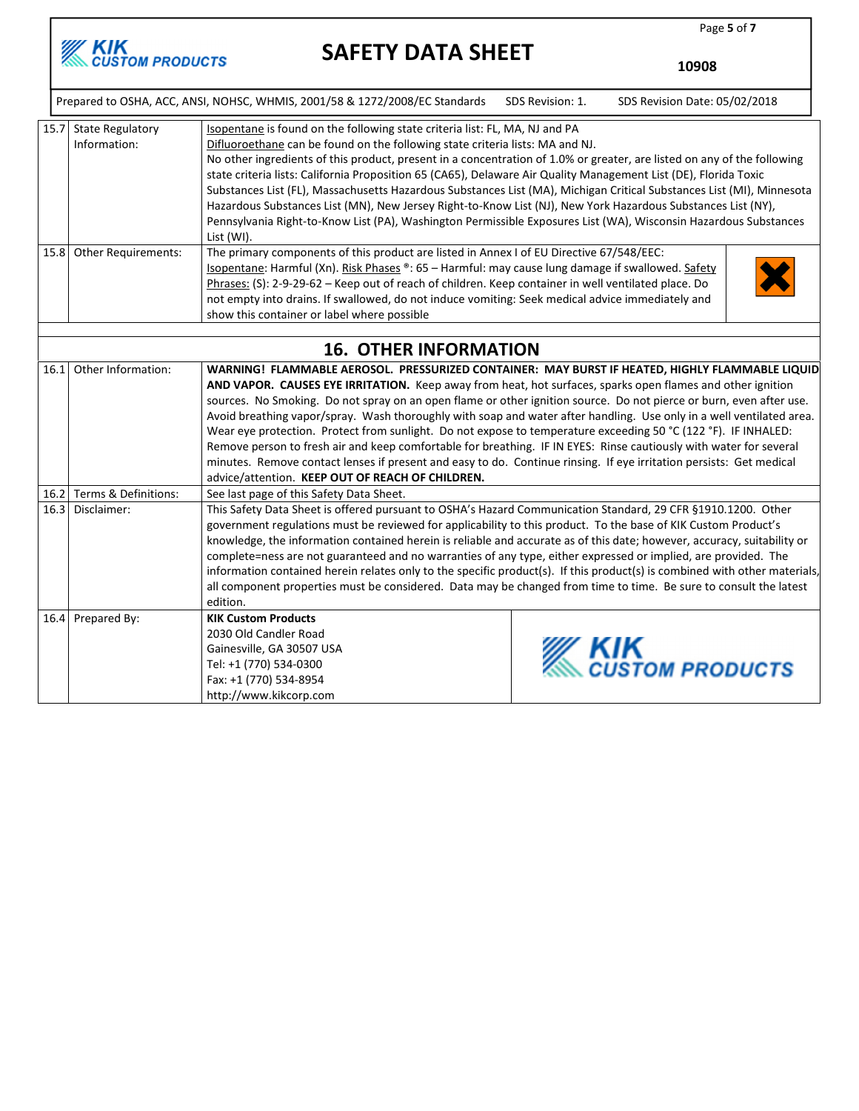

10908

Page 5 of 7

|      | Prepared to OSHA, ACC, ANSI, NOHSC, WHMIS, 2001/58 & 1272/2008/EC Standards<br>SDS Revision: 1.<br>SDS Revision Date: 05/02/2018 |                                                                                                                                                                                                                                                                                                                                                                                                                                                                                                                                                                                                                                                                                                                                                                                        |  |                                      |  |  |  |
|------|----------------------------------------------------------------------------------------------------------------------------------|----------------------------------------------------------------------------------------------------------------------------------------------------------------------------------------------------------------------------------------------------------------------------------------------------------------------------------------------------------------------------------------------------------------------------------------------------------------------------------------------------------------------------------------------------------------------------------------------------------------------------------------------------------------------------------------------------------------------------------------------------------------------------------------|--|--------------------------------------|--|--|--|
|      | 15.7 State Regulatory<br>Information:                                                                                            | Isopentane is found on the following state criteria list: FL, MA, NJ and PA<br>Difluoroethane can be found on the following state criteria lists: MA and NJ.<br>No other ingredients of this product, present in a concentration of 1.0% or greater, are listed on any of the following<br>state criteria lists: California Proposition 65 (CA65), Delaware Air Quality Management List (DE), Florida Toxic<br>Substances List (FL), Massachusetts Hazardous Substances List (MA), Michigan Critical Substances List (MI), Minnesota<br>Hazardous Substances List (MN), New Jersey Right-to-Know List (NJ), New York Hazardous Substances List (NY),<br>Pennsylvania Right-to-Know List (PA), Washington Permissible Exposures List (WA), Wisconsin Hazardous Substances<br>List (WI). |  |                                      |  |  |  |
|      | 15.8 Other Requirements:                                                                                                         | The primary components of this product are listed in Annex I of EU Directive 67/548/EEC:<br>Isopentane: Harmful (Xn). Risk Phases ®: 65 - Harmful: may cause lung damage if swallowed. Safety<br>Phrases: (S): 2-9-29-62 - Keep out of reach of children. Keep container in well ventilated place. Do<br>not empty into drains. If swallowed, do not induce vomiting: Seek medical advice immediately and<br>show this container or label where possible                                                                                                                                                                                                                                                                                                                               |  |                                      |  |  |  |
|      |                                                                                                                                  | <b>16. OTHER INFORMATION</b>                                                                                                                                                                                                                                                                                                                                                                                                                                                                                                                                                                                                                                                                                                                                                           |  |                                      |  |  |  |
|      | 16.1 Other Information:                                                                                                          | WARNING! FLAMMABLE AEROSOL. PRESSURIZED CONTAINER: MAY BURST IF HEATED, HIGHLY FLAMMABLE LIQUID                                                                                                                                                                                                                                                                                                                                                                                                                                                                                                                                                                                                                                                                                        |  |                                      |  |  |  |
|      |                                                                                                                                  | AND VAPOR. CAUSES EYE IRRITATION. Keep away from heat, hot surfaces, sparks open flames and other ignition<br>sources. No Smoking. Do not spray on an open flame or other ignition source. Do not pierce or burn, even after use.<br>Avoid breathing vapor/spray. Wash thoroughly with soap and water after handling. Use only in a well ventilated area.<br>Wear eye protection. Protect from sunlight. Do not expose to temperature exceeding 50 °C (122 °F). IF INHALED:<br>Remove person to fresh air and keep comfortable for breathing. IF IN EYES: Rinse cautiously with water for several<br>minutes. Remove contact lenses if present and easy to do. Continue rinsing. If eye irritation persists: Get medical<br>advice/attention. KEEP OUT OF REACH OF CHILDREN.           |  |                                      |  |  |  |
|      | 16.2 Terms & Definitions:                                                                                                        | See last page of this Safety Data Sheet.                                                                                                                                                                                                                                                                                                                                                                                                                                                                                                                                                                                                                                                                                                                                               |  |                                      |  |  |  |
| 16.3 | Disclaimer:                                                                                                                      | This Safety Data Sheet is offered pursuant to OSHA's Hazard Communication Standard, 29 CFR §1910.1200. Other<br>government regulations must be reviewed for applicability to this product. To the base of KIK Custom Product's<br>knowledge, the information contained herein is reliable and accurate as of this date; however, accuracy, suitability or<br>complete=ness are not guaranteed and no warranties of any type, either expressed or implied, are provided. The<br>information contained herein relates only to the specific product(s). If this product(s) is combined with other materials,<br>all component properties must be considered. Data may be changed from time to time. Be sure to consult the latest<br>edition.                                             |  |                                      |  |  |  |
| 16.4 | Prepared By:                                                                                                                     | <b>KIK Custom Products</b><br>2030 Old Candler Road<br>Gainesville, GA 30507 USA<br>Tel: +1 (770) 534-0300<br>Fax: +1 (770) 534-8954<br>http://www.kikcorp.com                                                                                                                                                                                                                                                                                                                                                                                                                                                                                                                                                                                                                         |  | <b>KIK</b><br><i>CUSTOM PRODUCTS</i> |  |  |  |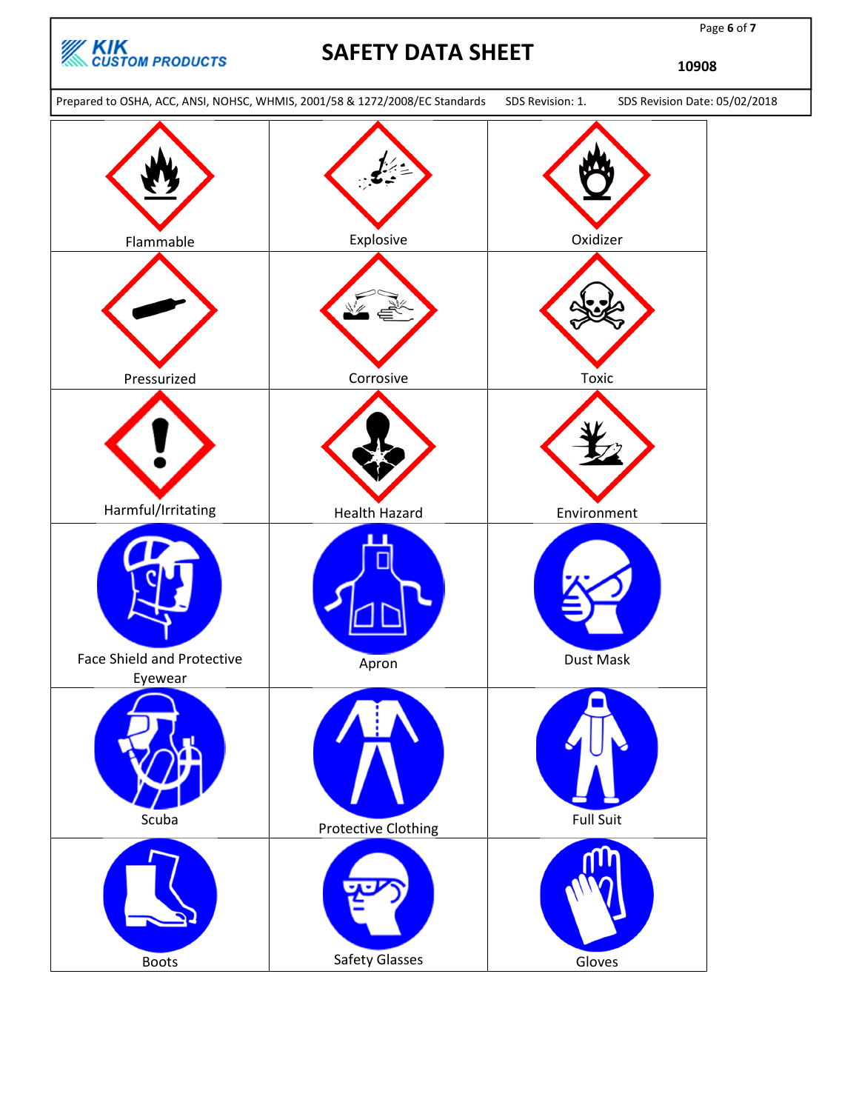